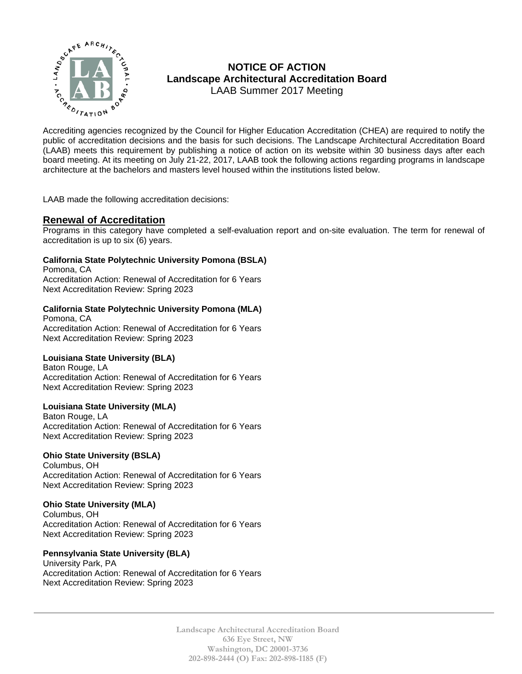

# **NOTICE OF ACTION Landscape Architectural Accreditation Board**  LAAB Summer 2017 Meeting

MOTICE OF ACTION<br>  $\sum_{k}^{n}$  MOTICE OF ACTION<br>
LAAB Summer 2017 Meeting<br>
Accreditation Board<br>
Accrediting agencies recognized by the Council for Higher Education Accreditation (CHEA) are required to notify the<br>
public of public of accreditation decisions and the basis for such decisions. The Landscape Architectural Accreditation Board (LAAB) meets this requirement by publishing a notice of action on its website within 30 business days after each board meeting. At its meeting on July 21-22, 2017, LAAB took the following actions regarding programs in landscape architecture at the bachelors and masters level housed within the institutions listed below.

LAAB made the following accreditation decisions:

# **Renewal of Accreditation**

Programs in this category have completed a self-evaluation report and on-site evaluation. The term for renewal of accreditation is up to six (6) years.

## **California State Polytechnic University Pomona (BSLA)**

Pomona, CA Accreditation Action: Renewal of Accreditation for 6 Years Next Accreditation Review: Spring 2023

# **California State Polytechnic University Pomona (MLA)**

Pomona, CA Accreditation Action: Renewal of Accreditation for 6 Years Next Accreditation Review: Spring 2023

## **Louisiana State University (BLA)**

Baton Rouge, LA Accreditation Action: Renewal of Accreditation for 6 Years Next Accreditation Review: Spring 2023

## **Louisiana State University (MLA)**

Baton Rouge, LA Accreditation Action: Renewal of Accreditation for 6 Years Next Accreditation Review: Spring 2023

## **Ohio State University (BSLA)**

Columbus, OH Accreditation Action: Renewal of Accreditation for 6 Years Next Accreditation Review: Spring 2023

## **Ohio State University (MLA)**

Columbus, OH Accreditation Action: Renewal of Accreditation for 6 Years Next Accreditation Review: Spring 2023

## **Pennsylvania State University (BLA)**

University Park, PA Accreditation Action: Renewal of Accreditation for 6 Years Next Accreditation Review: Spring 2023

> **Landscape Architectural Accreditation Board 636 Eye Street, NW Washington, DC 20001-3736 202-898-2444 (O) Fax: 202-898-1185 (F)**